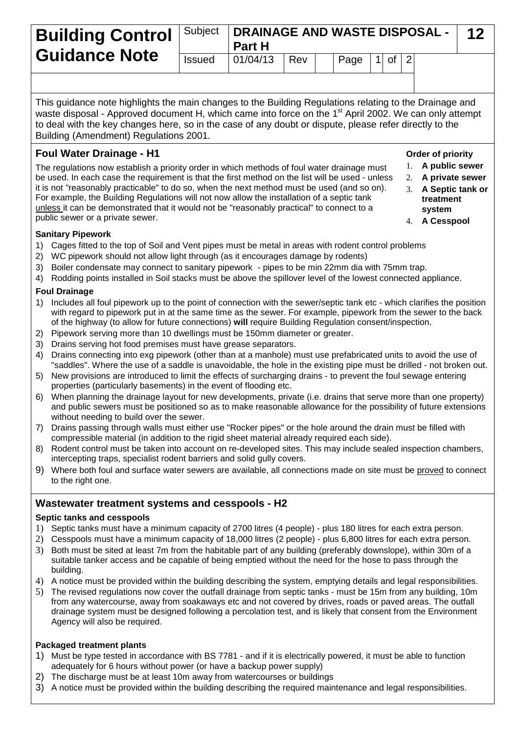| <b>Guidance Note</b> |               | <b>Building Control</b>   Subject   DRAINAGE AND WASTE DISPOSAL -  <br><b>Part H</b> |       |  |      |  |              |  | -12 |  |
|----------------------|---------------|--------------------------------------------------------------------------------------|-------|--|------|--|--------------|--|-----|--|
|                      | <b>Issued</b> | 01/04/13                                                                             | I Rev |  | Page |  | $1$ of $ 2 $ |  |     |  |
|                      |               |                                                                                      |       |  |      |  |              |  |     |  |

This guidance note highlights the main changes to the Building Regulations relating to the Drainage and waste disposal - Approved document H, which came into force on the 1<sup>st</sup> April 2002. We can only attempt to deal with the key changes here, so in the case of any doubt or dispute, please refer directly to the Building (Amendment) Regulations 2001.

# **Foul Water Drainage - H1**

The regulations now establish a priority order in which methods of foul water drainage must be used. In each case the requirement is that the first method on the list will be used - unless it is not "reasonably practicable" to do so, when the next method must be used (and so on). For example, the Building Regulations will not now allow the installation of a septic tank unless it can be demonstrated that it would not be "reasonably practical" to connect to a public sewer or a private sewer.

## **Sanitary Pipework**

- 1) Cages fitted to the top of Soil and Vent pipes must be metal in areas with rodent control problems
- 2) WC pipework should not allow light through (as it encourages damage by rodents)
- 3) Boiler condensate may connect to sanitary pipework pipes to be min 22mm dia with 75mm trap.
- 4) Rodding points installed in Soil stacks must be above the spillover level of the lowest connected appliance.

## **Foul Drainage**

- 1) Includes all foul pipework up to the point of connection with the sewer/septic tank etc which clarifies the position with regard to pipework put in at the same time as the sewer. For example, pipework from the sewer to the back of the highway (to allow for future connections) **will** require Building Regulation consent/inspection.
- 2) Pipework serving more than 10 dwellings must be 150mm diameter or greater.
- 3) Drains serving hot food premises must have grease separators.
- 4) Drains connecting into exg pipework (other than at a manhole) must use prefabricated units to avoid the use of "saddles". Where the use of a saddle is unavoidable, the hole in the existing pipe must be drilled - not broken out.
- 5) New provisions are introduced to limit the effects of surcharging drains to prevent the foul sewage entering properties (particularly basements) in the event of flooding etc.
- 6) When planning the drainage layout for new developments, private (i.e. drains that serve more than one property) and public sewers must be positioned so as to make reasonable allowance for the possibility of future extensions without needing to build over the sewer.
- 7) Drains passing through walls must either use "Rocker pipes" or the hole around the drain must be filled with compressible material (in addition to the rigid sheet material already required each side).
- 8) Rodent control must be taken into account on re-developed sites. This may include sealed inspection chambers, intercepting traps, specialist rodent barriers and solid gully covers.
- 9) Where both foul and surface water sewers are available, all connections made on site must be proved to connect to the right one.

## **Wastewater treatment systems and cesspools - H2**

#### **Septic tanks and cesspools**

- 1) Septic tanks must have a minimum capacity of 2700 litres (4 people) plus 180 litres for each extra person.
- 2) Cesspools must have a minimum capacity of 18,000 litres (2 people) plus 6,800 litres for each extra person.
- 3) Both must be sited at least 7m from the habitable part of any building (preferably downslope), within 30m of a suitable tanker access and be capable of being emptied without the need for the hose to pass through the building.
- 4) A notice must be provided within the building describing the system, emptying details and legal responsibilities.
- 5) The revised regulations now cover the outfall drainage from septic tanks must be 15m from any building, 10m from any watercourse, away from soakaways etc and not covered by drives, roads or paved areas. The outfall drainage system must be designed following a percolation test, and is likely that consent from the Environment Agency will also be required.

## **Packaged treatment plants**

- 1) Must be type tested in accordance with BS 7781 and if it is electrically powered, it must be able to function adequately for 6 hours without power (or have a backup power supply)
- 2) The discharge must be at least 10m away from watercourses or buildings
- 3) A notice must be provided within the building describing the required maintenance and legal responsibilities.
- **Order of priority**
- 1. **A public sewer**
- 2. **A private sewer**
- 3. **A Septic tank or treatment system**
- 4. **A Cesspool**